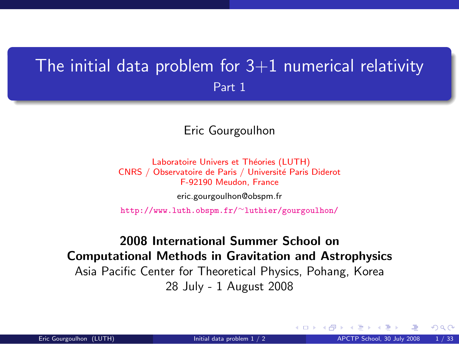## The initial data problem for  $3+1$  numerical relativity Part 1

#### Eric Gourgoulhon

Laboratoire Univers et Théories (LUTH) CNRS / Observatoire de Paris / Université Paris Diderot F-92190 Meudon, France

[eric.gourgoulhon@obspm.fr](mailto:eric.gourgoulhon@obspm.fr)

[http://www.luth.obspm.fr/](http://www.luth.obspm.fr/~luthier/gourgoulhon/)∼luthier/gourgoulhon/

#### 2008 International Summer School on Computational Methods in Gravitation and Astrophysics Asia Pacific Center for Theoretical Physics, Pohang, Korea 28 July - 1 August 2008

<span id="page-0-0"></span> $\Omega$ 

**K ロ ▶ K 何 ▶ K 手**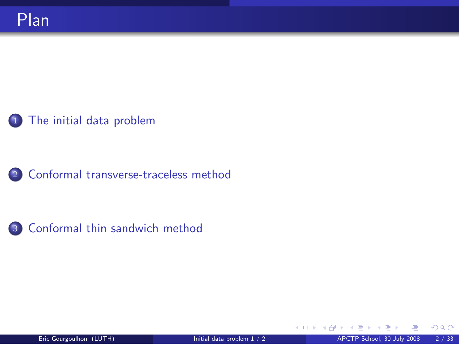### 1 [The initial data problem](#page-2-0)

<sup>2</sup> [Conformal transverse-traceless method](#page-13-0)



メロメ メ御き メミメメ

 $299$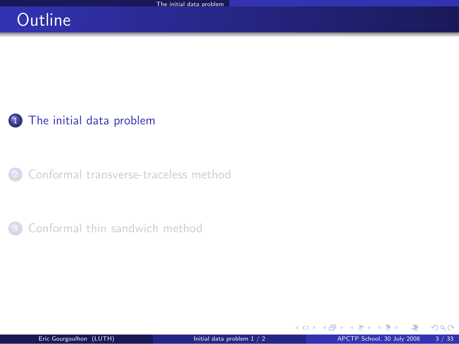## **Outline**

### 1 [The initial data problem](#page-2-0)

<sup>2</sup> [Conformal transverse-traceless method](#page-13-0)

[Conformal thin sandwich method](#page-42-0)

メロト メ都 トメ ミトメ

<span id="page-2-0"></span> $299$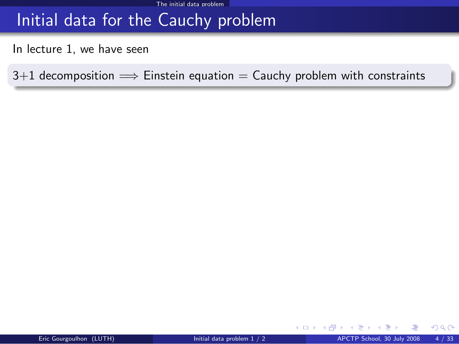## Initial data for the Cauchy problem

In lecture 1, we have seen

 $3+1$  decomposition  $\implies$  Einstein equation = Cauchy problem with constraints

 $\Omega$ 

**←ロ ▶ ← イ 同 →**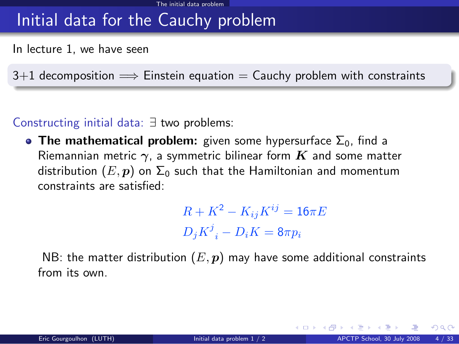## Initial data for the Cauchy problem

In lecture 1, we have seen

 $3+1$  decomposition  $\implies$  Einstein equation  $=$  Cauchy problem with constraints

#### Constructing initial data: ∃ two problems:

• The mathematical problem: given some hypersurface  $\Sigma_0$ , find a Riemannian metric  $\gamma$ , a symmetric bilinear form  $K$  and some matter distribution  $(E, p)$  on  $\Sigma_0$  such that the Hamiltonian and momentum constraints are satisfied:

> $R + K^2 - K_{ij}K^{ij} = 16\pi E$  $D_j K^j{}_i - D_i K = 8\pi p_i$

NB: the matter distribution  $(E, p)$  may have some additional constraints from its own.

**K ロ ト K 何 ト K ヨ ト**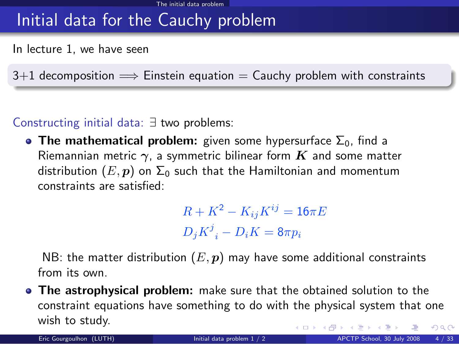## Initial data for the Cauchy problem

In lecture 1, we have seen

 $3+1$  decomposition  $\implies$  Einstein equation  $=$  Cauchy problem with constraints

#### Constructing initial data: ∃ two problems:

• The mathematical problem: given some hypersurface  $\Sigma_0$ , find a Riemannian metric  $\gamma$ , a symmetric bilinear form  $K$  and some matter distribution  $(E, p)$  on  $\Sigma_0$  such that the Hamiltonian and momentum constraints are satisfied:

> $R + K^2 - K_{ij}K^{ij} = 16\pi E$  $D_j K^j{}_i - D_i K = 8\pi p_i$

NB: the matter distribution  $(E, p)$  may have some additional constraints from its own.

**The astrophysical problem:** make sure that the obtained solution to the constraint equations have something to do with the physical system that one wish to study. **K ロ ト K 御 ト K 走 ト**  $299$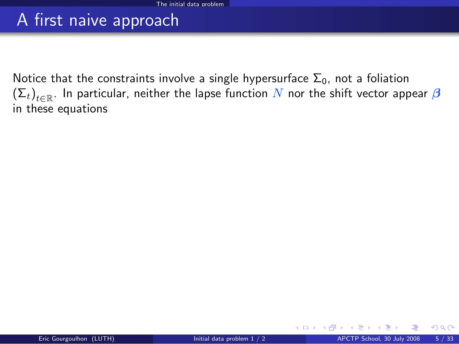## A first naive approach

Notice that the constraints involve a single hypersurface  $\Sigma_0$ , not a foliation  $\left(\Sigma_t\right)_{t\in\mathbb{R}}.$  In particular, neither the lapse function  $N$  nor the shift vector appear  $\boldsymbol{\beta}$ in these equations

 $\Omega$ 

**K ロ ▶ K 何 ▶ K**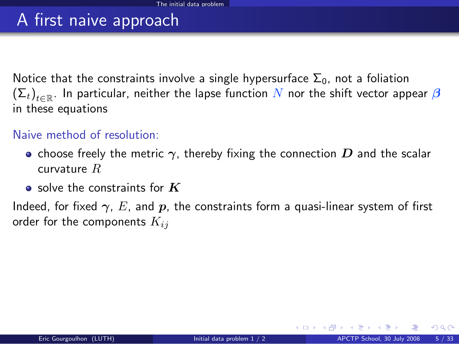## A first naive approach

Notice that the constraints involve a single hypersurface  $\Sigma_0$ , not a foliation  $\left(\Sigma_t\right)_{t\in\mathbb{R}}.$  In particular, neither the lapse function  $N$  nor the shift vector appear  $\boldsymbol{\beta}$ in these equations

#### Naive method of resolution:

- choose freely the metric  $\gamma$ , thereby fixing the connection  $D$  and the scalar curvature R
- $\bullet$  solve the constraints for  $K$

Indeed, for fixed  $\gamma$ , E, and p, the constraints form a quasi-linear system of first order for the components  $K_{ij}$ 

 $\Omega$ 

**K ロ ト K 何 ト K 日**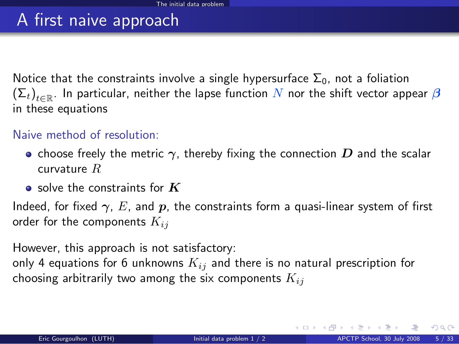## A first naive approach

Notice that the constraints involve a single hypersurface  $\Sigma_0$ , not a foliation  $\left(\Sigma_t\right)_{t\in\mathbb{R}}.$  In particular, neither the lapse function  $N$  nor the shift vector appear  $\boldsymbol{\beta}$ in these equations

#### Naive method of resolution:

- choose freely the metric  $\gamma$ , thereby fixing the connection  $D$  and the scalar curvature R
- $\bullet$  solve the constraints for  $K$

Indeed, for fixed  $\gamma$ , E, and p, the constraints form a quasi-linear system of first order for the components  $K_{ij}$ 

However, this approach is not satisfactory:

only 4 equations for 6 unknowns  $K_{ij}$  and there is no natural prescription for choosing arbitrarily two among the six components  $K_{ij}$ 

 $\Omega$ 

**K ロ ⊁ K 倒 ≯ K 差 ≯ K**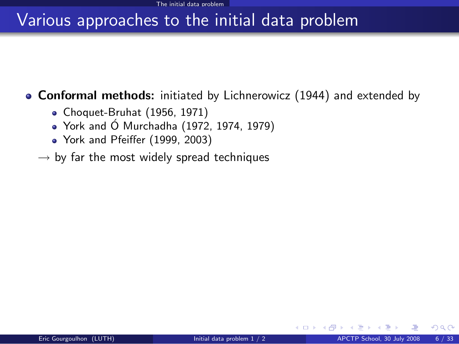#### **Conformal methods:** initiated by Lichnerowicz (1944) and extended by

- Choquet-Bruhat (1956, 1971)
- $\bullet$  York and Ó Murchadha (1972, 1974, 1979)
- York and Pfeiffer (1999, 2003)
- $\rightarrow$  by far the most widely spread techniques

 $\Omega$ 

∢ □ ▶ ∢r<sup>□</sup> ▶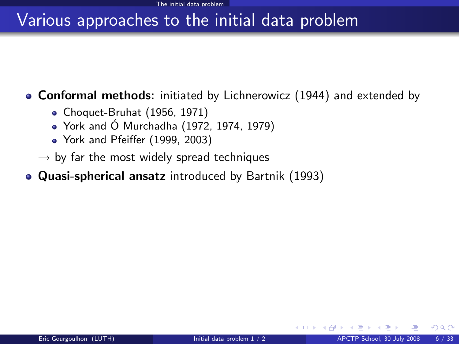**Conformal methods:** initiated by Lichnerowicz (1944) and extended by

- Choquet-Bruhat (1956, 1971)
- $\bullet$  York and Ó Murchadha (1972, 1974, 1979)
- York and Pfeiffer (1999, 2003)
- $\rightarrow$  by far the most widely spread techniques
- Quasi-spherical ansatz introduced by Bartnik (1993)

 $\Omega$ 

◂<del>◻▸ кฅ</del>▸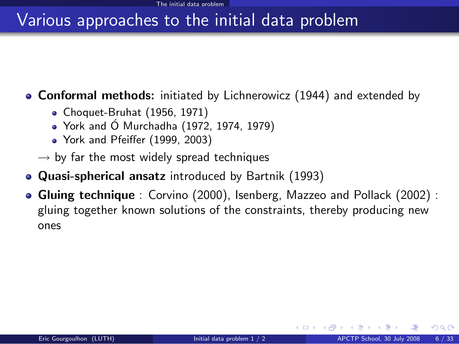**Conformal methods:** initiated by Lichnerowicz (1944) and extended by

- Choquet-Bruhat (1956, 1971)
- $\bullet$  York and Ó Murchadha (1972, 1974, 1979)
- York and Pfeiffer (1999, 2003)
- $\rightarrow$  by far the most widely spread techniques
- Quasi-spherical ansatz introduced by Bartnik (1993)
- Gluing technique : Corvino (2000), Isenberg, Mazzeo and Pollack (2002) : gluing together known solutions of the constraints, thereby producing new ones

 $\Omega$ 

**K ロ ト K 何 ト K 手**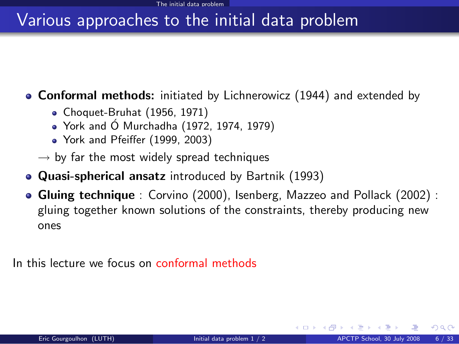**Conformal methods:** initiated by Lichnerowicz (1944) and extended by

- Choquet-Bruhat (1956, 1971)
- $\bullet$  York and Ó Murchadha (1972, 1974, 1979)
- York and Pfeiffer (1999, 2003)
- $\rightarrow$  by far the most widely spread techniques
- Quasi-spherical ansatz introduced by Bartnik (1993)
- Gluing technique : Corvino (2000), Isenberg, Mazzeo and Pollack (2002) : gluing together known solutions of the constraints, thereby producing new ones

In this lecture we focus on conformal methods

 $\Omega$ 

**K ロ ト K 何 ト K 手**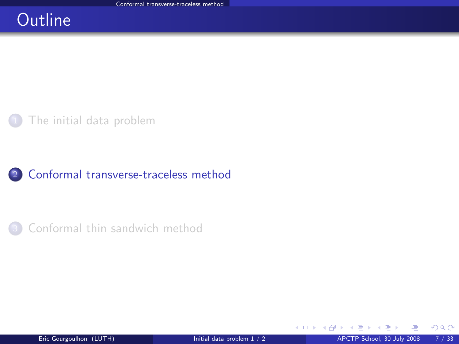## **Outline**

[The initial data problem](#page-2-0)

#### <sup>2</sup> [Conformal transverse-traceless method](#page-13-0)

[Conformal thin sandwich method](#page-42-0)

<span id="page-13-0"></span> $299$ 

メロメ メ御き メミメ メミ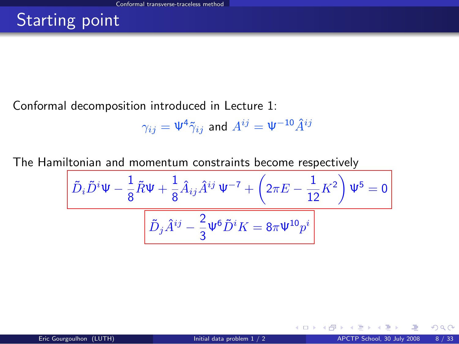## Starting point

Conformal decomposition introduced in Lecture 1:

$$
\gamma_{ij}=\Psi^4\tilde\gamma_{ij}\,\text{ and }\,A^{ij}=\Psi^{-10}\hat A^{ij}
$$

The Hamiltonian and momentum constraints become respectively

$$
\frac{\left[\tilde{D}_{i}\tilde{D}^{i}\Psi - \frac{1}{8}\tilde{R}\Psi + \frac{1}{8}\hat{A}_{ij}\hat{A}^{ij}\Psi^{-7} + \left(2\pi E - \frac{1}{12}K^{2}\right)\Psi^{5} = 0\right]}{\left[\tilde{D}_{j}\tilde{A}^{ij} - \frac{2}{3}\Psi^{6}\tilde{D}^{i}K = 8\pi\Psi^{10}p^{i}\right]}
$$

**←ロ ▶ ← イ 同 →** 

 $299$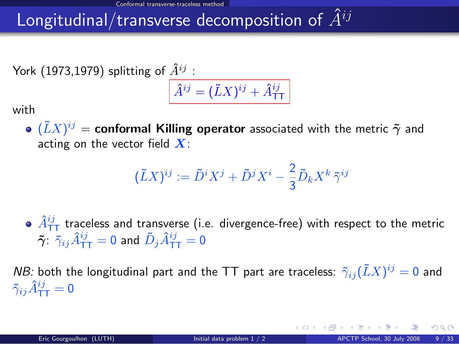# Longitudinal/transverse decomposition of  $\hat{A}^{ij}$

York (1973,1979) splitting of  $\hat{A}^{ij}$ :

$$
\hat{A}^{ij} = (\tilde{L}X)^{ij} + \hat{A}^{ij}_{\text{TT}}
$$

with

 $(\tilde{L}X)^{ij} =$  conformal Killing operator associated with the metric  $\tilde{\boldsymbol{\gamma}}$  and acting on the vector field  $X$ :

$$
(\tilde{L}X)^{ij} := \tilde{D}^i X^j + \tilde{D}^j X^i - \frac{2}{3} \tilde{D}_k X^k \tilde{\gamma}^{ij}
$$

 $\hat{A}_{\textsf{TT}}^{ij}$  traceless and transverse (i.e. divergence-free) with respect to the metric  $\tilde{\bm{\gamma}}$ :  $\tilde{\gamma}_{ij}\hat{A}^{ij}_{\mathsf{T}\mathsf{T}} = 0$  and  $\tilde{D}_j\hat{A}^{ij}_{\mathsf{T}\mathsf{T}} = 0$ 

*NB:* both the longitudinal part and the TT part are traceless:  $\tilde{\gamma}_{ij}(\tilde{L}X)^{ij}=0$  and  $\tilde{\gamma}_{ij}\hat{A}^{ij}_{\mathsf{TT}} = \mathsf{0}$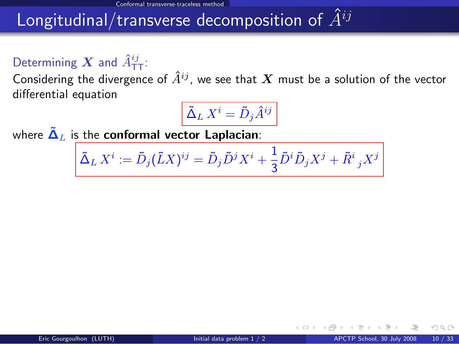# Longitudinal/transverse decomposition of  $\hat{A}^{ij}$

## Determining  $\boldsymbol{X}$  and  $\hat{A}^{ij}_{\mathsf{T}\mathsf{T}}$ :

Considering the divergence of  $\hat{A}^{ij}$ , we see that X must be a solution of the vector differential equation

$$
\tilde{\Delta}_L\,X^i=\tilde{D}_j\hat{A}^{ij}
$$

where  $\tilde{\Delta}_L$  is the conformal vector Laplacian:

$$
\tilde{\Delta}_L X^i := \tilde{D}_j (\tilde{L} X)^{ij} = \tilde{D}_j \tilde{D}^j X^i + \frac{1}{3} \tilde{D}^i \tilde{D}_j X^j + \tilde{R}^i_{\ j} X^j
$$

4 **D F**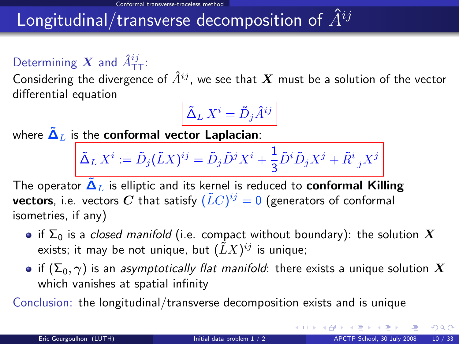## Longitudinal/transverse decomposition of  $\hat{A}^{ij}$

## Determining  $\boldsymbol{X}$  and  $\hat{A}^{ij}_{\mathsf{T}\mathsf{T}}$ :

Considering the divergence of  $\hat{A}^{ij}$ , we see that  $\bm{X}$  must be a solution of the vector differential equation

$$
\tilde{\Delta}_L\,X^i=\tilde{D}_j\hat{A}^{ij}
$$

where  $\tilde{\Delta}_L$  is the conformal vector Laplacian:

$$
\tilde{\Delta}_L X^i := \tilde{D}_j (\tilde{L} X)^{ij} = \tilde{D}_j \tilde{D}^j X^i + \frac{1}{3} \tilde{D}^i \tilde{D}_j X^j + \tilde{R}^i {}_j X^j
$$

4

The operator  $\tilde{\Delta}_L$  is elliptic and its kernel is reduced to **conformal Killing vectors**, i.e. vectors  $\boldsymbol{C}$  that satisfy  $(\tilde{L}C)^{ij}=0$  (generators of conformal isometries, if any)

- if  $\Sigma_0$  is a closed manifold (i.e. compact without boundary): the solution X exists; it may be not unique, but  $(\tilde{L}X)^{ij}$  is unique;
- if  $(\Sigma_0, \gamma)$  is an asymptotically flat manifold: there exists a unique solution  $X$ which vanishes at spatial infinity

Conclusion: the longitudinal/transverse decomposition exists and is unique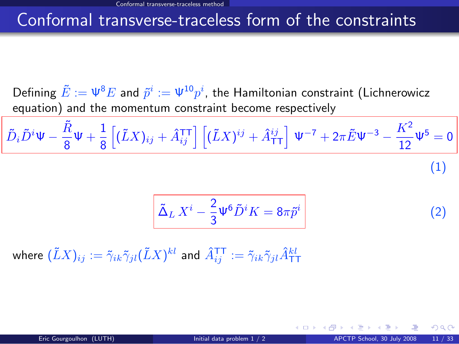### Conformal transverse-traceless form of the constraints

Defining  $\tilde{E}:=\Psi^8 E$  and  $\tilde{p}^i:=\Psi^{10} p^i,$  the Hamiltonian constraint (Lichnerowicz equation) and the momentum constraint become respectively

$$
\tilde{D}_i \tilde{D}^i \Psi - \frac{\tilde{R}}{8} \Psi + \frac{1}{8} \left[ (\tilde{L}X)_{ij} + \hat{A}_{ij}^{\text{TT}} \right] \left[ (\tilde{L}X)^{ij} + \hat{A}_{\text{TT}}^{ij} \right] \Psi^{-7} + 2\pi \tilde{E} \Psi^{-3} - \frac{K^2}{12} \Psi^5 = 0
$$
\n(1)

<span id="page-18-1"></span><span id="page-18-0"></span>
$$
\tilde{\Delta}_L X^i - \frac{2}{3} \Psi^6 \tilde{D}^i K = 8\pi \tilde{p}^i \tag{2}
$$

where  $(\tilde{L}X)_{ij}:=\tilde{\gamma}_{ik}\tilde{\gamma}_{jl}(\tilde{L}X)^{kl}$  and  $\hat{A}^{\texttt{TT}}_{ij}:=\tilde{\gamma}_{ik}\tilde{\gamma}_{jl}\hat{A}^{kl}_{\texttt{TT}}$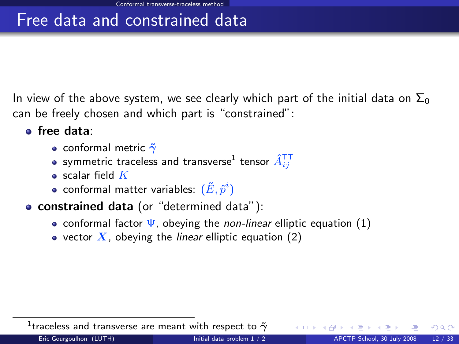## Free data and constrained data

In view of the above system, we see clearly which part of the initial data on  $\Sigma_0$ can be freely chosen and which part is "constrained":

- **•** free data:
	- conformal metric  $\tilde{\gamma}$
	- symmetric traceless and transverse $^1$  tensor  $\hat A_{ij}^{\intercal\intercal}$
	- $\bullet$  scalar field  $K$
	- conformal matter variables:  $(\tilde{E}, \tilde{p}^i)$
- **constrained data** (or "determined data"):
	- conformal factor  $\Psi$ , obeying the *non-linear* elliptic equation [\(1\)](#page-18-0)
	- vector  $X$ , obeying the *linear* elliptic equation [\(2\)](#page-18-1)

 $^1$ traceless and transverse are meant with respect to  $\tilde{\gamma}$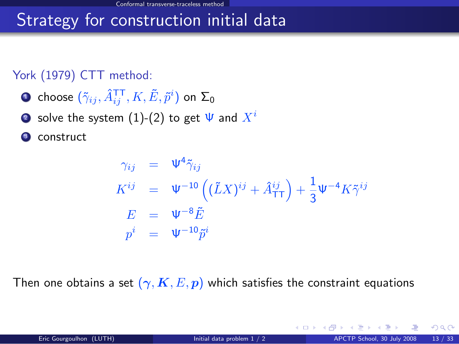## Strategy for construction initial data

#### York (1979) CTT method:

- $\bullet$  choose  $(\tilde{\gamma}_{ij},\hat{A}^{\texttt{TT}}_{ij},K,\tilde{E},\tilde{p}^{i})$  on  $\Sigma_{0}$
- solve the system [\(1\)](#page-18-0)-[\(2\)](#page-18-1) to get  $\Psi$  and  $X^i$
- construct

$$
\gamma_{ij} = \Psi^4 \tilde{\gamma}_{ij}
$$
\n
$$
K^{ij} = \Psi^{-10} \left( (\tilde{L}X)^{ij} + \hat{A}_{TT}^{ij} \right) + \frac{1}{3} \Psi^{-4} K \tilde{\gamma}^{ij}
$$
\n
$$
E = \Psi^{-8} \tilde{E}
$$
\n
$$
p^i = \Psi^{-10} \tilde{p}^i
$$

Then one obtains a set  $(\gamma, K, E, p)$  which satisfies the constraint equations

 $\Omega$ 

イロト イ押 トイヨ トイヨ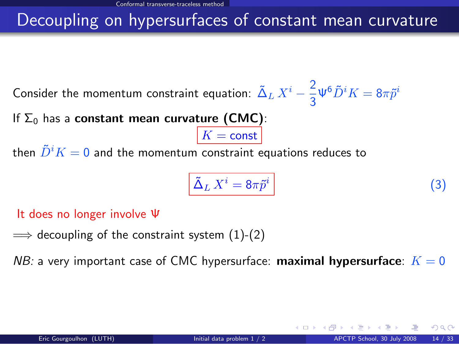## Decoupling on hypersurfaces of constant mean curvature

Consider the momentum constraint equation:  $\tilde{\Delta}_L X^i - \frac{2}{3}$  $\frac{2}{3}\Psi^6 \tilde{D}^i K = 8\pi \tilde{p}^i$ 

If  $\Sigma_0$  has a constant mean curvature (CMC):

then  $\tilde{D}^i K = 0$  and the momentum constraint equations reduces to

<span id="page-21-0"></span>
$$
\tilde{\Delta}_L X^i = 8\pi \tilde{p}^i \tag{3}
$$

It does no longer involve Ψ

 $\implies$  decoupling of the constraint system [\(1\)](#page-18-0)-[\(2\)](#page-18-1)

NB: a very important case of CMC hypersurface: **maximal hypersurface**:  $K = 0$ 

 $K = \text{const}$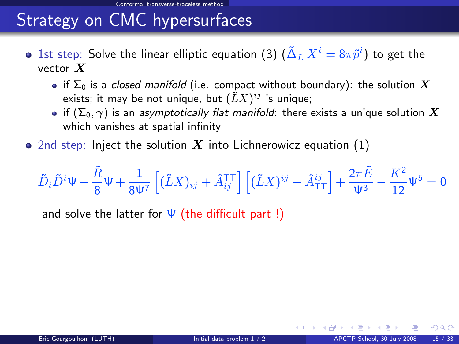# Strategy on CMC hypersurfaces

- 1st step: Solve the linear elliptic equation [\(3\)](#page-21-0)  $(\tilde{\Delta}_L \, X^i = 8 \pi \tilde{p}^i)$  to get the vector  $X$ 
	- if  $\Sigma_0$  is a closed manifold (i.e. compact without boundary): the solution X exists; it may be not unique, but  $(\tilde{L}X)^{ij}$  is unique;
	- if  $(\Sigma_0, \gamma)$  is an asymptotically flat manifold: there exists a unique solution X which vanishes at spatial infinity
- 2nd step: Inject the solution X into Lichnerowicz equation  $(1)$

$$
\tilde{D}_i\tilde{D}^i\Psi - \frac{\tilde{R}}{8}\Psi + \frac{1}{8\Psi^7}\left[(\tilde{L}X)_{ij} + \hat{A}_{ij}^{\text{TT}}\right]\left[(\tilde{L}X)^{ij} + \hat{A}_{\text{TT}}^{ij}\right] + \frac{2\pi\tilde{E}}{\Psi^3} - \frac{K^2}{12}\Psi^5 = 0
$$

and solve the latter for  $\Psi$  (the difficult part !)

<span id="page-22-0"></span> $\Omega$ 

∢ <del>□</del> ▶ ∢ n <del>□</del> ▶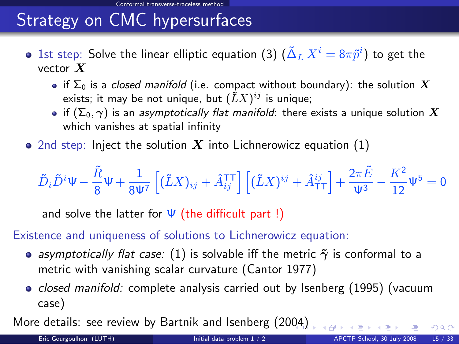# Strategy on CMC hypersurfaces

- 1st step: Solve the linear elliptic equation [\(3\)](#page-21-0)  $(\tilde{\Delta}_L \, X^i = 8 \pi \tilde{p}^i)$  to get the vector  $X$ 
	- if  $\Sigma_0$  is a closed manifold (i.e. compact without boundary): the solution X exists; it may be not unique, but  $(\tilde{L}X)^{ij}$  is unique;
	- if  $(\Sigma_0, \gamma)$  is an asymptotically flat manifold: there exists a unique solution X which vanishes at spatial infinity
- 2nd step: Inject the solution X into Lichnerowicz equation  $(1)$

$$
\tilde{D}_i \tilde{D}^i \Psi - \frac{\tilde{R}}{8} \Psi + \frac{1}{8 \Psi^7} \left[ (\tilde{L} X)_{ij} + \hat{A}_{ij}^{\text{TT}} \right] \left[ (\tilde{L} X)^{ij} + \hat{A}_{\text{TT}}^{ij} \right] + \frac{2 \pi \tilde{E}}{\Psi^3} - \frac{K^2}{12} \Psi^5 = 0
$$

and solve the latter for  $\Psi$  (the difficult part !)

#### Existence and uniqueness of solutions to Lichnerowicz equation:

- asymptotically flat case: [\(1\)](#page-18-0) is solvable iff the metric  $\tilde{\gamma}$  is conformal to a metric with vanishing scalar curvature (Cantor 1977)
- <span id="page-23-0"></span>• *closed manifold:* complete analysis carried out by Isenberg  $(1995)$  (vacuum case)

More details: see review by Bartnik and Isenberg (20[04](#page-22-0))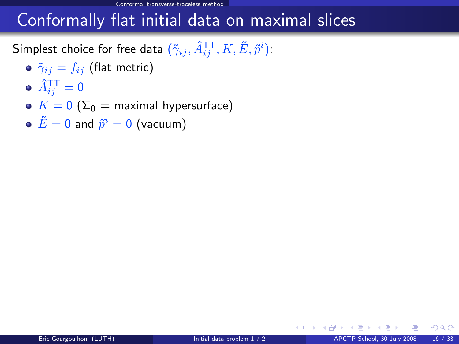## Conformally flat initial data on maximal slices

Simplest choice for free data  $(\tilde{\gamma}_{ij},\hat{A}^{\texttt{TT}}_{ij},K,\tilde{E},\tilde{p}^{i})$ :

- $\delta$   $\tilde{\gamma}_{ij} = f_{ij}$  (flat metric)
- $\hat{A}^{\mathsf{T}\mathsf{T}}_{ij} = \mathsf{0}$
- $K = 0$  ( $\Sigma_0$  = maximal hypersurface)
- $\tilde{E}=0$  and  $\tilde{p}^i=0$  (vacuum)

<span id="page-24-0"></span> $\Omega$ 

<span id="page-24-2"></span><span id="page-24-1"></span>**← ロ ▶ → イ 同 →**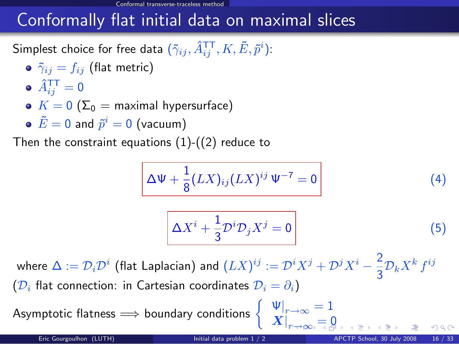## Conformally flat initial data on maximal slices

Simplest choice for free data  $(\tilde{\gamma}_{ij},\hat{A}^{\texttt{TT}}_{ij},K,\tilde{E},\tilde{p}^{i})$ :

- $\delta$   $\tilde{\gamma}_{ij} = f_{ij}$  (flat metric)
- $\hat{A}^{\mathsf{T}\mathsf{T}}_{ij} = \mathsf{0}$
- $K = 0$  ( $\Sigma_0$  = maximal hypersurface)
- $\tilde{E}=0$  and  $\tilde{p}^i=0$  (vacuum)

Then the constraint equations  $(1)-(2)$  $(1)-(2)$  $(1)-(2)$  reduce to

$$
\Delta \Psi + \frac{1}{8} (LX)_{ij} (LX)^{ij} \Psi^{-7} = 0 \qquad (4)
$$

<span id="page-25-0"></span>
$$
\Delta X^i + \frac{1}{3} \mathcal{D}^i \mathcal{D}_j X^j = 0 \tag{5}
$$

where  $\Delta:=\mathcal{D}_i\mathcal{D}^i$  (flat Laplacian) and  $(LX)^{ij}:=\mathcal{D}^iX^j+\mathcal{D}^jX^i-\frac{2}{2}$  $rac{2}{3}\mathcal{D}_k X^k f^{ij}$  $(\mathcal{D}_i)$  flat connection: in Cartesian coordinates  $\mathcal{D}_i = \partial_i$ )

Asymptotic flatness  $\implies$  boundary conditions  $\begin{cases} \n\mathbf{\Psi}\big|_{r\to\infty} = 1, & \mathbf{\Psi}\big|_{r\to\infty} \n\end{cases}$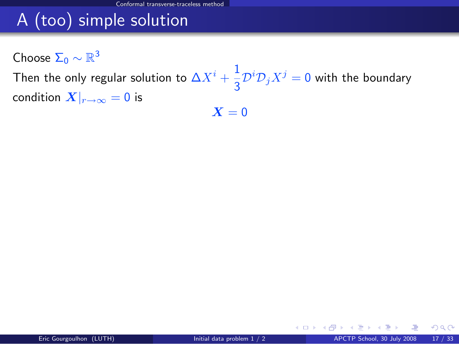# A (too) simple solution

Choose  $\Sigma_0 \sim \mathbb{R}^3$ 

Then the only regular solution to  $\Delta X^i+\frac{1}{2}$  $\frac{1}{3} \mathcal{D}^i \mathcal{D}_j X^j = 0$  with the boundary condition  $X|_{r\to\infty} = 0$  is  $X = 0$ 

<span id="page-26-0"></span> $\Omega$ 

イロト イ押 トイヨ トイヨ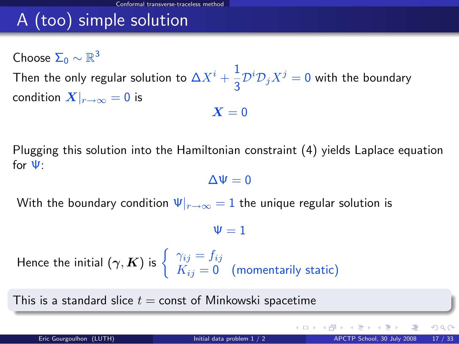# A (too) simple solution

Choose  $\Sigma_0 \sim \mathbb{R}^3$ Then the only regular solution to  $\Delta X^i+\frac{1}{2}$  $\frac{1}{3} \mathcal{D}^i \mathcal{D}_j X^j = 0$  with the boundary condition  $X|_{r\to\infty} = 0$  is  $X = 0$ 

Plugging this solution into the Hamiltonian constraint [\(4\)](#page-24-1) yields Laplace equation for Ψ:

 $\Delta\Psi=0$ 

With the boundary condition  $\Psi|_{r\to\infty} = 1$  the unique regular solution is

 $\Psi = 1$ 

Hence the initial  $(\boldsymbol{\gamma},\boldsymbol{K})$  is  $\left\{\begin{array}{c} \gamma_{ij}=f_{ij},\ \nu=0, \end{array}\right.$  $K_{ij} = \mathsf{0} \quad \text{(momentarily static)}$ 

This is a standard slice  $t =$  const of Minkowski spacetime

 $\Omega$ 

メロト メ都 トメ ミトメ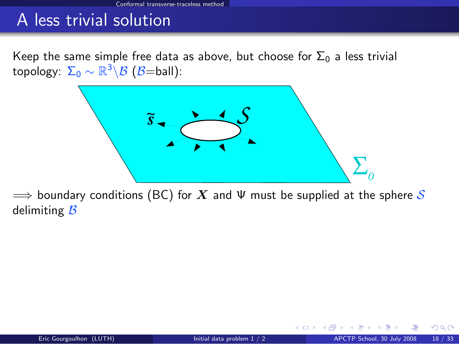Keep the same simple free data as above, but choose for  $\Sigma_0$  a less trivial topology:  $\Sigma_0 \sim \mathbb{R}^3 \backslash \mathcal{B}$   $(\mathcal{B}{=}\mathsf{ball})$ :



 $\implies$  boundary conditions (BC) for X and  $\Psi$  must be supplied at the sphere S delimiting  $B$ 

 $\Omega$ 

**← ロ ▶ → イ 同**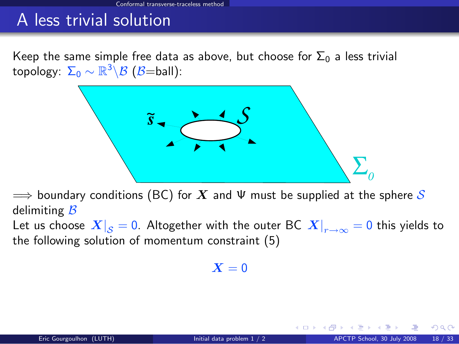Keep the same simple free data as above, but choose for  $\Sigma_0$  a less trivial topology:  $\Sigma_0 \sim \mathbb{R}^3 \backslash \mathcal{B}$   $(\mathcal{B}{=}\mathsf{ball})$ :



 $\implies$  boundary conditions (BC) for  $X$  and  $\Psi$  must be supplied at the sphere S delimiting  $\mathcal B$ 

Let us choose  $\left. X\right| _{\cal S}=0.$  Altogether with the outer BC  $\left. X\right| _{r\rightarrow\infty}=0$  this yields to the following solution of momentum constraint [\(5\)](#page-24-2)

 $X = 0$ 

 $\Omega$ 

∢ <del>□</del> ▶ ∢ n <del>□</del> ▶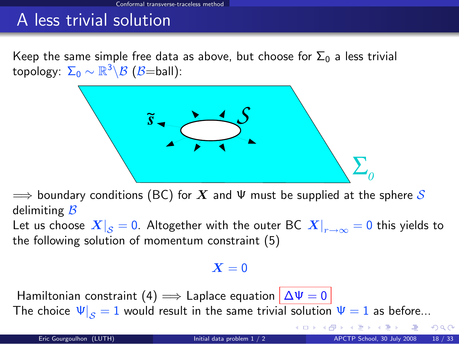Keep the same simple free data as above, but choose for  $\Sigma_0$  a less trivial topology:  $\Sigma_0 \sim \mathbb{R}^3 \backslash \mathcal{B}$   $(\mathcal{B}{=}\mathsf{ball})$ :



 $\implies$  boundary conditions (BC) for  $X$  and  $\Psi$  must be supplied at the sphere S delimiting  $B$ 

Let us choose  $\left. X\right| _{\cal S}=0.$  Altogether with the outer BC  $\left. X\right| _{r\rightarrow\infty}=0$  this yields to the following solution of momentum constraint [\(5\)](#page-24-2)

#### $X = 0$

Hamiltonian constraint [\(4\)](#page-24-1)  $\implies$  Laplace equation  $|\Delta\Psi=0|$ The choice  $\Psi|_{S} = 1$  would result in the same trivial solution  $\Psi = 1$  as before...

 $299$ 

メロメ メタメ メミメス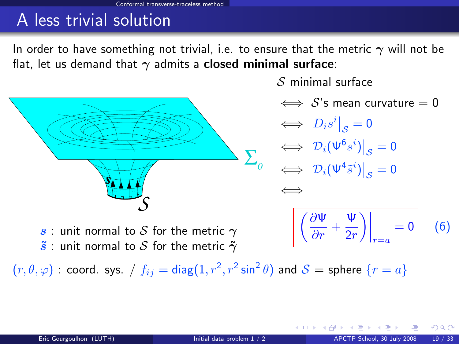In order to have something not trivial, i.e. to ensure that the metric  $\gamma$  will not be flat, let us demand that  $\gamma$  admits a **closed minimal surface**:



 $S$  minimal surface

 $\iff$  S's mean curvature = 0

 $\iff D_i s^i\big|_{\mathcal{S}}=0$  $\iff \left. \mathcal{D}_i(\Psi^6 s^i) \right|_{\mathcal{S}} = 0$  $\iff \left. \mathcal{D}_i(\Psi^4 \tilde{s}^i) \right|_{\mathcal{S}} = 0$ ⇐⇒

**←ロ ▶ ← イ 同 →** 

<span id="page-31-0"></span>
$$
\left| \left( \frac{\partial \Psi}{\partial r} + \frac{\Psi}{2r} \right) \right|_{r=a} = 0 \qquad (6)
$$

s : unit normal to S for the metric  $\gamma$  $\tilde{s}$  : unit normal to S for the metric  $\tilde{\gamma}$ 

 $(r,\theta,\varphi)$  : coord. sys. /  $f_{ij}=\mathsf{diag}(1,r^2,r^2\sin^2\theta)$  and  $\mathcal{S}=\mathsf{sphere}\,\{r=a\}$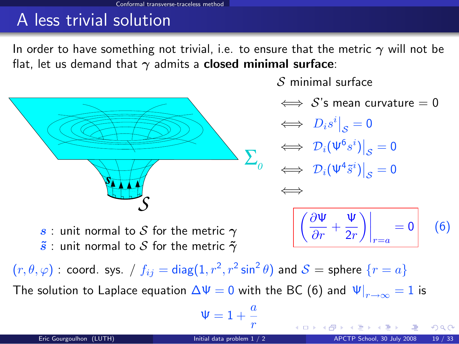In order to have something not trivial, i.e. to ensure that the metric  $\gamma$  will not be flat, let us demand that  $\gamma$  admits a **closed minimal surface**:



 $S$  minimal surface

 $\iff$  S's mean curvature = 0

 $\iff D_i s^i\big|_{\mathcal{S}}=0$  $\Leftrightarrow$   $\mathcal{D}_i(\Psi^6s^i)\big|_{\mathcal{S}}=0$  $\mathcal{S}_{\mathcal{S}}$  $\iff \left. \mathcal{D}_i(\Psi^4 \tilde{s}^i) \right|_{\mathcal{S}} = 0$ 

<span id="page-32-0"></span>**K ロ ▶ K 何 ▶ K 手** 

⇐⇒

$$
\left| \left( \frac{\partial \Psi}{\partial r} + \frac{\Psi}{2r} \right) \right|_{r=a} = 0 \qquad (6)
$$

s : unit normal to S for the metric  $\gamma$  $\tilde{s}$  : unit normal to S for the metric  $\tilde{\gamma}$ 

 $(r,\theta,\varphi)$  : coord. sys. /  $f_{ij}=\mathsf{diag}(1,r^2,r^2\sin^2\theta)$  and  $\mathcal{S}=\mathsf{sphere}\,\{r=a\}$ The solution to Laplace equation  $\Delta \Psi=0$  with the BC [\(6\)](#page-31-0) and  $\left. \Psi\right|_{r\rightarrow\infty}=1$  is

$$
\Psi=1+\frac{a}{r}
$$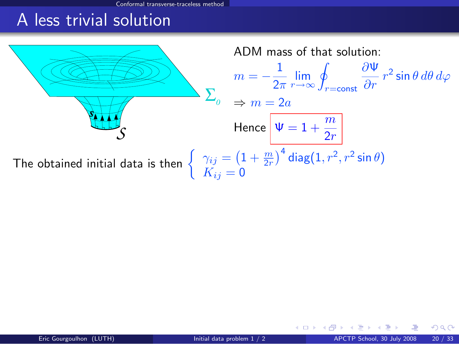Conformal transverse-traceless meth

## A less trivial solution



<span id="page-33-0"></span> $\Omega$ 

メロト メ押 トメミト メミト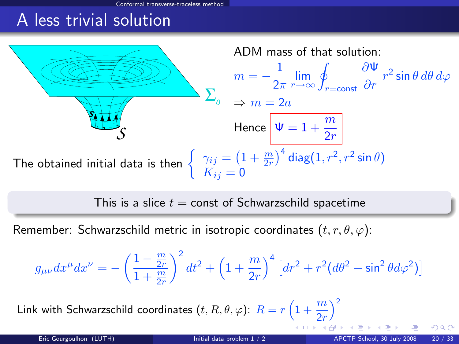al transverse-traceless meth

## A less trivial solution



This is a slice  $t =$  const of Schwarzschild spacetime

Remember: Schwarzschild metric in isotropic coordinates  $(t, r, \theta, \varphi)$ :

$$
g_{\mu\nu}dx^{\mu}dx^{\nu} = -\left(\frac{1-\frac{m}{2r}}{1+\frac{m}{2r}}\right)^2 dt^2 + \left(1+\frac{m}{2r}\right)^4 \left[dr^2 + r^2(d\theta^2 + \sin^2\theta d\varphi^2)\right]
$$

Link with Schwa[r](#page-32-0)zschild coordinates  $(t,R,\theta,\varphi)$ :  $R=r\left(1+\frac{m}{2r}\right)$  $R=r\left(1+\frac{m}{2r}\right)$  $R=r\left(1+\frac{m}{2r}\right)$  $\chi^2$ 

( □ ) ( <sub>□</sub> )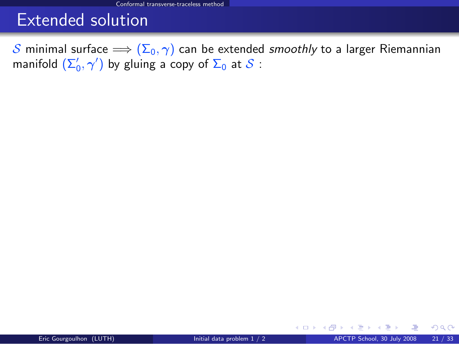## Extended solution

S minimal surface  $\implies$   $(\Sigma_0, \gamma)$  can be extended smoothly to a larger Riemannian manifold  $(\Sigma_0',\gamma')$  by gluing a copy of  $\Sigma_0$  at  ${\mathcal S}$  :

<span id="page-35-0"></span> $298$ 

**K ロ ▶ K 御 ▶ K 舌**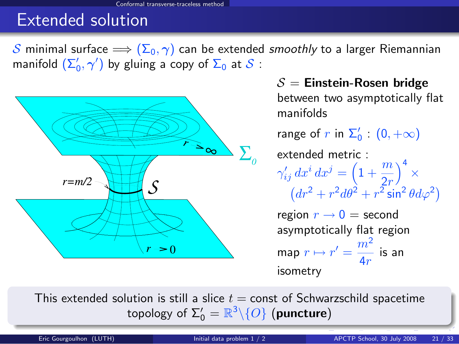## Extended solution

S minimal surface  $\implies (\Sigma_0, \gamma)$  can be extended smoothly to a larger Riemannian manifold  $(\Sigma_0',\gamma')$  by gluing a copy of  $\Sigma_0$  at  ${\mathcal{S}}$  :



 $S =$  Einstein-Rosen bridge between two asymptotically flat manifolds range of  $r$  in  $\Sigma_0'$  :  $(0, +\infty)$ extended metric :  $\gamma'_{ij} dx^i dx^j = \left(1 + \frac{m}{2r}\right)$  $\big)^{4}$   $\times$  $(dr^2 + r^2 d\theta^2 + r^2 \sin^2 \theta d\varphi^2)$ region  $r \rightarrow 0 =$  second asymptotically flat region map  $r \mapsto r' = \frac{m^2}{4}$  $\frac{m}{4r}$  is an isometry

This extended solution is still a slice  $t =$  const of Schwarzschild spacetime topology of  $\Sigma_0' = \mathbb{R}^3 \backslash \{O\}$  (puncture)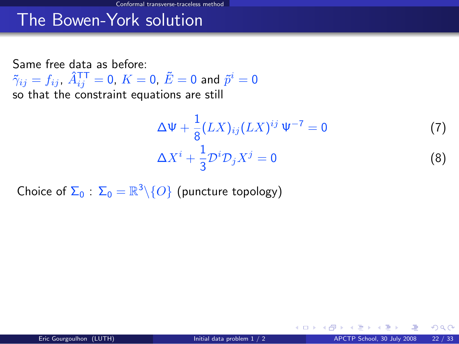Same free data as before:  $\tilde{\gamma}_{ij}=f_{ij}$ ,  $\hat{A}^{\mathsf{T}\mathsf{T}}_{ij}=0$ ,  $K=0$ ,  $\tilde{E}=0$  and  $\tilde{p}^i=0$ so that the constraint equations are still

<span id="page-37-1"></span><span id="page-37-0"></span>
$$
\Delta \Psi + \frac{1}{8} (LX)_{ij} (LX)^{ij} \Psi^{-7} = 0
$$
 (7)  

$$
\Delta X^{i} + \frac{1}{3} \mathcal{D}^{i} \mathcal{D}_{j} X^{j} = 0
$$
 (8)

**←ロ ▶ ← イ 同 →** 

Choice of  $\Sigma_0$  :  $\Sigma_0 = \mathbb{R}^3 \backslash \{O\}$  (puncture topology)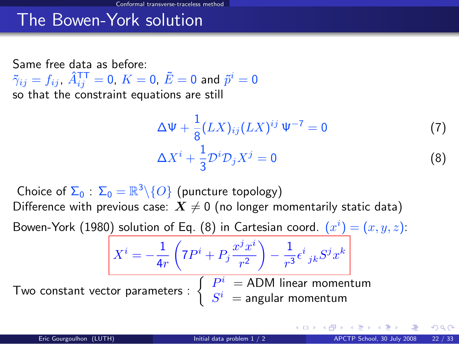Same free data as before:  $\tilde{\gamma}_{ij}=f_{ij}$ ,  $\hat{A}^{\mathsf{T}\mathsf{T}}_{ij}=0$ ,  $K=0$ ,  $\tilde{E}=0$  and  $\tilde{p}^i=0$ so that the constraint equations are still

 $X^i = -\frac{1}{4}$ 

$$
\Delta \Psi + \frac{1}{8} (LX)_{ij} (LX)^{ij} \Psi^{-7} = 0
$$
 (7)  

$$
\Delta X^{i} + \frac{1}{3} \mathcal{D}^{i} \mathcal{D}_{j} X^{j} = 0
$$
 (8)

Choice of  $\Sigma_0$  :  $\Sigma_0 = \mathbb{R}^3 \backslash \{O\}$  (puncture topology) Difference with previous case:  $X \neq 0$  (no longer momentarily static data)

Bowen-York (1980) solution of Eq. [\(8\)](#page-37-0) in Cartesian coord.  $(x^{i}) = (x, y, z)$ :

Two constant vector paramete

$$
\frac{1}{4r} \left(7P^i + P_j \frac{x^j x^i}{r^2} \right) - \frac{1}{r^3} \epsilon^i{}_{jk} S^j x^k
$$
\n
$$
\text{eters}: \begin{cases} P^i = \text{ADM linear momentum} \\ S^i = \text{angular momentum} \end{cases}
$$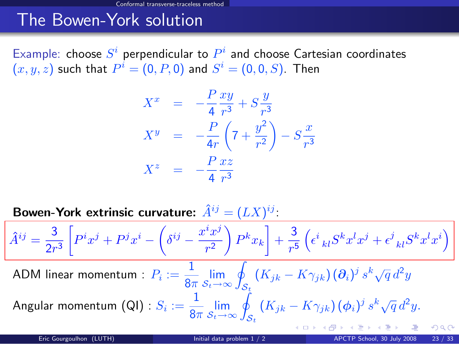Example: choose  $S^i$  perpendicular to  $P^i$  and choose Cartesian coordinates  $(x,y,z)$  such that  $P^i=(0,P,0)$  and  $S^i=(0,0,S).$  Then

$$
X^{x} = -\frac{P}{4} \frac{xy}{r^{3}} + S \frac{y}{r^{3}}
$$
  
\n
$$
X^{y} = -\frac{P}{4r} \left(7 + \frac{y^{2}}{r^{2}}\right) - S \frac{x}{r^{3}}
$$
  
\n
$$
X^{z} = -\frac{P}{4} \frac{xz}{r^{3}}
$$

Bowen-York extrinsic curvature:  $\hat{A}^{ij} = (LX)^{ij}$ :

$$
\hat{A}^{ij} = \frac{3}{2r^3} \left[ P^i x^j + P^j x^i - \left( \delta^{ij} - \frac{x^i x^j}{r^2} \right) P^k x_k \right] + \frac{3}{r^5} \left( \epsilon^i{}_{kl} S^k x^l x^j + \epsilon^j{}_{kl} S^k x^l x^i \right)
$$
  
ADM linear momentum :  $P_i := \frac{1}{8\pi} \lim_{S_t \to \infty} \oint_{S_t} \left( K_{jk} - K \gamma_{jk} \right) (\partial_i)^j s^k \sqrt{q} d^2 y$   
Angular momentum (QI) :  $S_i := \frac{1}{8\pi} \lim_{S_t \to \infty} \oint_{S_t} \left( K_{jk} - K \gamma_{jk} \right) (\phi_i)^j s^k \sqrt{q} d^2 y$ .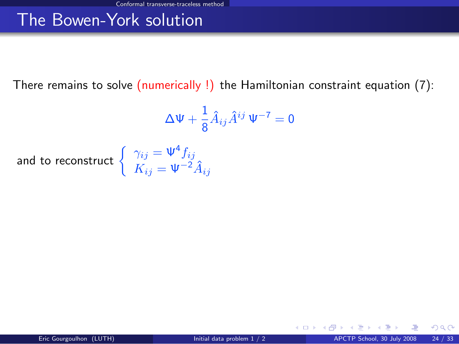There remains to solve (numerically !) the Hamiltonian constraint equation [\(7\)](#page-37-1):

$$
\Delta \Psi + \frac{1}{8} \hat{A}_{ij} \hat{A}^{ij} \Psi^{-7} = 0
$$

and to reconstruct  $\begin{cases} \gamma_{ij} = \Psi^4 f_{ij} \\ V_{ij} \end{cases}$  $K_{ij} = \Psi^{-2} \hat{A}_{ij}$ 

 $\Omega$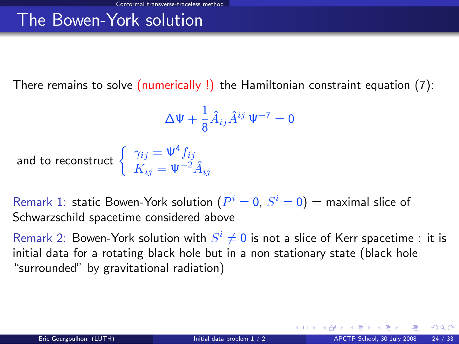There remains to solve (numerically !) the Hamiltonian constraint equation [\(7\)](#page-37-1):

<span id="page-41-0"></span>
$$
\Delta \Psi + \frac{1}{8} \hat{A}_{ij} \hat{A}^{ij} \Psi^{-7} = 0
$$

and to reconstruct  $\Big\{$ 

$$
\gamma_{ij} = \Psi^4 f_{ij}
$$
  

$$
K_{ij} = \Psi^{-2} \hat{A}_{ij}
$$

Remark 1: static Bowen-York solution  $(P^{i}=0,\,S^{i}=0)=$  maximal slice of Schwarzschild spacetime considered above

Remark 2: Bowen-York solution with  $S^i \neq 0$  is not a slice of Kerr spacetime : it is initial data for a rotating black hole but in a non stationary state (black hole "surrounded" by gravitational radiation)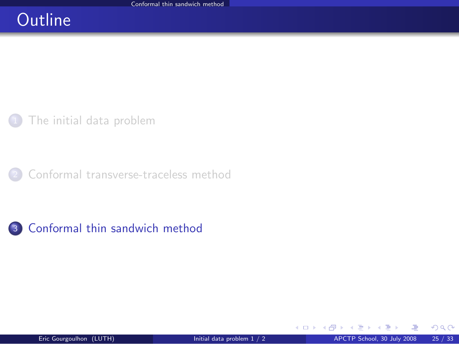## **Outline**

[The initial data problem](#page-2-0)

[Conformal transverse-traceless method](#page-13-0)

<sup>3</sup> [Conformal thin sandwich method](#page-42-0)

K ロ ▶ K 御 ▶ K 경 ▶ K 경

<span id="page-42-0"></span> $299$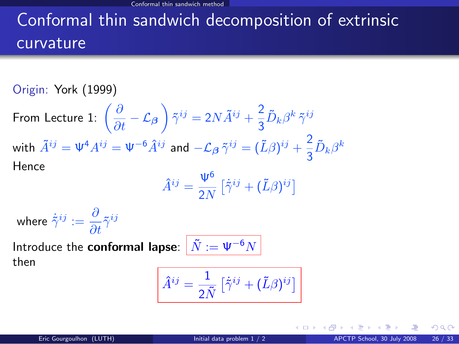# Conformal thin sandwich decomposition of extrinsic curvature

Origin: York (1999)

From Lecture 1:  $\left(\frac{\partial}{\partial t} - \mathcal{L}_{\boldsymbol{\beta}}\right) \tilde{\gamma}^{ij} = 2N \tilde{A}^{ij} + \frac{2}{3}$  $\frac{\epsilon}{3} \tilde{D}_k \beta^k \, \tilde{\gamma}^{ij}$ with  $\tilde{A}^{ij} = \Psi^4 A^{ij} = \Psi^{-6} \hat{A}^{ij}$  and  $-\mathcal{L}_{\beta} \tilde{\gamma}^{ij} = (\tilde{L}\beta)^{ij} + \frac{2}{3}$  $\frac{2}{3}\tilde{D}_k\beta^k$ Hence

$$
\hat{A}^{ij} = \frac{\Psi^6}{2N} \left[ \dot{\tilde{\gamma}}^{ij} + (\tilde{L}\beta)^{ij} \right]
$$

where  $\dot{\tilde{\gamma}}^{ij} := \frac{\partial}{\partial t} \tilde{\gamma}^{ij}$ 

Introduce the **conformal lapse**:  $\left|\tilde{N}\right|=\Psi^{-6}N$ then

$$
\hat{A}^{ij} = \frac{1}{2\tilde{N}} \left[ \dot{\tilde{\gamma}}^{ij} + (\tilde{L}\beta)^{ij} \right]
$$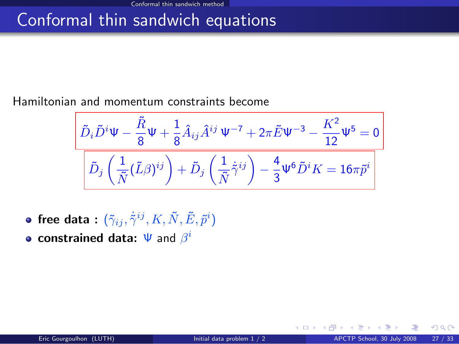## Conformal thin sandwich equations

#### Hamiltonian and momentum constraints become

$$
\frac{\tilde{D}_{i}\tilde{D}^{i}\Psi-\dfrac{\tilde{R}}{8}\Psi+\dfrac{1}{8}\hat{A}_{ij}\hat{A}^{ij}\Psi^{-7}+2\pi\tilde{E}\Psi^{-3}-\dfrac{K^{2}}{12}\Psi^{5}=0}{\left[\tilde{D}_{j}\left(\dfrac{1}{\tilde{N}}(\tilde{L}\beta)^{ij}\right)+\tilde{D}_{j}\left(\dfrac{1}{\tilde{N}}\tilde{\gamma}^{ij}\right)-\dfrac{4}{3}\Psi^{6}\tilde{D}^{i}K=16\pi\tilde{p}^{i}\right]}
$$

- free data :  $(\tilde{\gamma}_{ij}, \dot{\tilde{\gamma}}^{ij}, K, \tilde{N}, \tilde{E}, \tilde{p}^i)$
- constrained data:  $\Psi$  and  $\beta^i$

 $\Omega$ 

**← ロ ▶ → イ 同**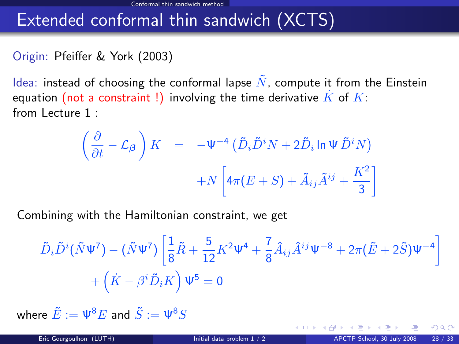## Extended conformal thin sandwich (XCTS)

### Origin: Pfeiffer & York (2003)

Idea: instead of choosing the conformal lapse  $\tilde{N}$ , compute it from the Einstein equation (not a constraint !) involving the time derivative  $\overline{K}$  of  $\overline{K}$ : from Lecture 1 :

$$
\left(\frac{\partial}{\partial t} - \mathcal{L}_{\beta}\right) K = -\Psi^{-4} \left(\tilde{D}_{i} \tilde{D}^{i} N + 2 \tilde{D}_{i} \ln \Psi \tilde{D}^{i} N\right) + N \left[4\pi (E + S) + \tilde{A}_{ij} \tilde{A}^{ij} + \frac{K^{2}}{3}\right]
$$

Combining with the Hamiltonian constraint, we get

$$
\tilde{D}_{i}\tilde{D}^{i}(\tilde{N}\Psi^{7}) - (\tilde{N}\Psi^{7})\left[\frac{1}{8}\tilde{R} + \frac{5}{12}K^{2}\Psi^{4} + \frac{7}{8}\hat{A}_{ij}\hat{A}^{ij}\Psi^{-8} + 2\pi(\tilde{E} + 2\tilde{S})\Psi^{-4}\right] + (\dot{K} - \beta^{i}\tilde{D}_{i}K)\Psi^{5} = 0
$$

where  $\tilde{E} := \Psi^8 E$  and  $\tilde{S} := \Psi^8 S$ 

 $\Omega$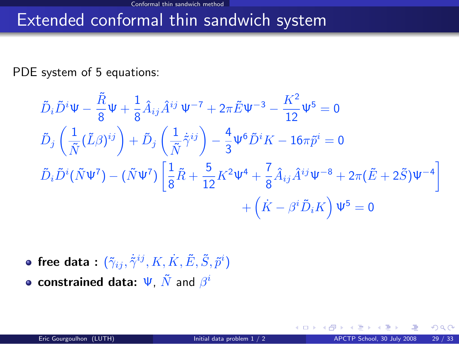## Extended conformal thin sandwich system

PDE system of 5 equations:

$$
\tilde{D}_{i}\tilde{D}^{i}\Psi - \frac{\tilde{R}}{8}\Psi + \frac{1}{8}\hat{A}_{ij}\hat{A}^{ij}\Psi^{-7} + 2\pi \tilde{E}\Psi^{-3} - \frac{K^{2}}{12}\Psi^{5} = 0
$$
\n
$$
\tilde{D}_{j}\left(\frac{1}{\tilde{N}}(\tilde{L}\beta)^{ij}\right) + \tilde{D}_{j}\left(\frac{1}{\tilde{N}}\dot{\tilde{\gamma}}^{ij}\right) - \frac{4}{3}\Psi^{6}\tilde{D}^{i}K - 16\pi\tilde{p}^{i} = 0
$$
\n
$$
\tilde{D}_{i}\tilde{D}^{i}(\tilde{N}\Psi^{7}) - (\tilde{N}\Psi^{7})\left[\frac{1}{8}\tilde{R} + \frac{5}{12}K^{2}\Psi^{4} + \frac{7}{8}\hat{A}_{ij}\hat{A}^{ij}\Psi^{-8} + 2\pi(\tilde{E} + 2\tilde{S})\Psi^{-4}\right] + \left(\dot{K} - \beta^{i}\tilde{D}_{i}K\right)\Psi^{5} = 0
$$

free data :  $(\tilde{\gamma}_{ij}, \dot{\tilde{\gamma}}^{ij}, K, \dot{K}, \tilde{E}, \tilde{S}, \tilde{p}^i)$ constrained data:  $\Psi$ ,  $\tilde{N}$  and  $\beta^i$ 

4 0 3 4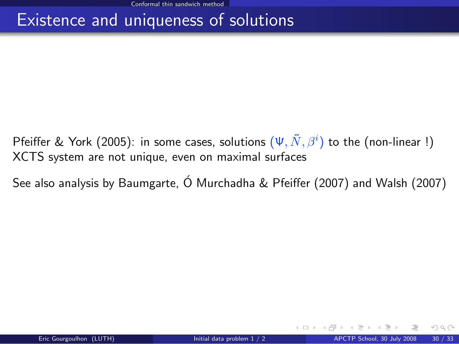## Existence and uniqueness of solutions

- Pfeiffer & York (2005): in some cases, solutions  $(\Psi, \tilde{N}, \beta^i)$  to the (non-linear !) XCTS system are not unique, even on maximal surfaces
- See also analysis by Baumgarte,  $\acute{o}$  Murchadha & Pfeiffer (2007) and Walsh (2007)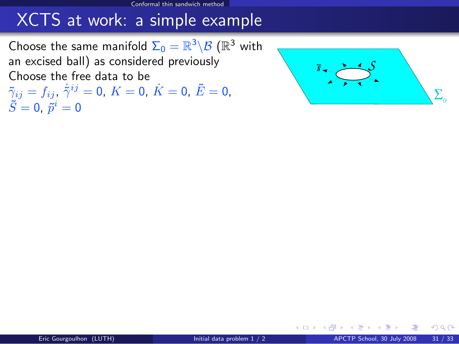Choose the same manifold  $\Sigma_0 = \mathbb{R}^3 \backslash \mathcal{B}$   $(\mathbb{R}^3$  with an excised ball) as considered previously Choose the free data to be

 $\tilde{\gamma}_{ij}=f_{ij}$ ,  $\dot{\tilde{\gamma}}^{ij}=0$ ,  $K=0$ ,  $\dot{K}=0$ ,  $\tilde{E}=0$ ,  $\tilde{S}=0,~\tilde{p}^i=0$ 

<span id="page-48-1"></span>

 $\Omega$ 

<span id="page-48-2"></span><span id="page-48-0"></span>**←ロ ▶ ← イ 同 →**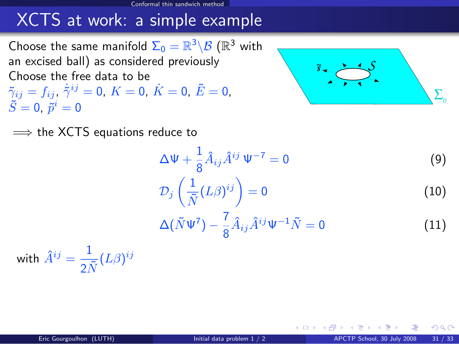Choose the same manifold  $\Sigma_0 = \mathbb{R}^3 \backslash \mathcal{B}$   $(\mathbb{R}^3$  with an excised ball) as considered previously Choose the free data to be  $\tilde{\gamma}_{ij}=f_{ij}$ ,  $\dot{\tilde{\gamma}}^{ij}=0$ ,  $K=0$ ,  $\dot{K}=0$ ,  $\tilde{E}=0$ ,  $\tilde{S}=0,~\tilde{p}^i=0$ 



 $\implies$  the XCTS equations reduce to

$$
\Delta \Psi + \frac{1}{8} \hat{A}_{ij} \hat{A}^{ij} \Psi^{-7} = 0 \tag{9}
$$

$$
\mathcal{D}_j\left(\frac{1}{\tilde{N}}(L\beta)^{ij}\right) = 0\tag{10}
$$

$$
\Delta(\tilde{N}\Psi^7) - \frac{7}{8}\hat{A}_{ij}\hat{A}^{ij}\Psi^{-1}\tilde{N} = 0
$$
\n(11)

**∢ ロ ≯ - ∢ 何** 

with  $\hat{A}^{ij} = \frac{1}{\sqrt{3}}$  $\frac{1}{2\tilde{N}}(L\beta)^{ij}$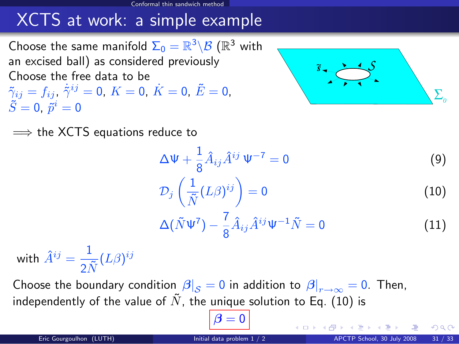Choose the same manifold  $\Sigma_0 = \mathbb{R}^3 \backslash \mathcal{B}$   $(\mathbb{R}^3$  with an excised ball) as considered previously Choose the free data to be  $\tilde{\gamma}_{ij}=f_{ij}$ ,  $\dot{\tilde{\gamma}}^{ij}=0$ ,  $K=0$ ,  $\dot{K}=0$ ,  $\tilde{E}=0$ ,  $\tilde{S}=0,~\tilde{p}^i=0$ 



 $\implies$  the XCTS equations reduce to

$$
\Delta \Psi + \frac{1}{8} \hat{A}_{ij} \hat{A}^{ij} \Psi^{-7} = 0 \tag{9}
$$

$$
\mathcal{D}_j\left(\frac{1}{\tilde{N}}(L\beta)^{ij}\right) = 0\tag{10}
$$

$$
\Delta(\tilde{N}\Psi^7) - \frac{7}{8}\hat{A}_{ij}\hat{A}^{ij}\Psi^{-1}\tilde{N} = 0
$$
\n(11)

with  $\hat{A}^{ij} = \frac{1}{\sqrt{3}}$  $\frac{1}{2\tilde{N}}(L\beta)^{ij}$ 

Choose the boundary condition  $\left. \beta\right\vert _{\mathcal{S}}=0$  in addition to  $\left. \beta\right\vert _{r\rightarrow\infty}=0.$  Then, independently of the value of  $\tilde{N}$ , the unique solution to Eq. [\(10\)](#page-48-0) is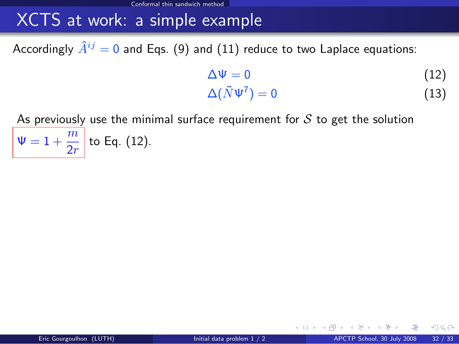Accordingly  $\hat{A}^{ij} = 0$  and Eqs. [\(9\)](#page-48-1) and [\(11\)](#page-48-2) reduce to two Laplace equations:

<span id="page-51-1"></span><span id="page-51-0"></span>
$$
\Delta \Psi = 0 \tag{12}
$$
\n
$$
\Delta(\tilde{N}\Psi^7) = 0 \tag{13}
$$

**← ロ ▶ → イ 同** 

As previously use the minimal surface requirement for  $S$  to get the solution  $\Psi = 1 + \frac{m}{2r}$  to Eq. [\(12\)](#page-51-0).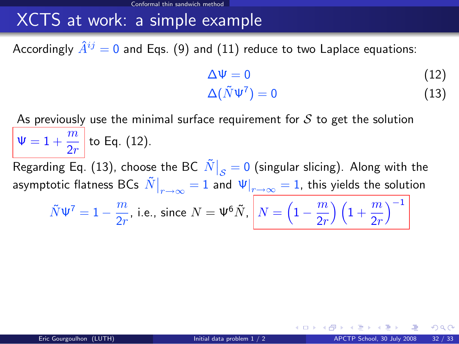Accordingly  $\hat{A}^{ij} = 0$  and Eqs. [\(9\)](#page-48-1) and [\(11\)](#page-48-2) reduce to two Laplace equations:

$$
\Delta \Psi = 0 \tag{12}
$$
\n
$$
\Delta(\tilde{N}\Psi^7) = 0 \tag{13}
$$

As previously use the minimal surface requirement for  $S$  to get the solution  $\Psi = 1 + \frac{m}{2r}$  to Eq. [\(12\)](#page-51-0). Regarding Eq. [\(13\)](#page-51-1), choose the BC  $\left.\tilde{N}\right|_{\cal S}=0$  (singular slicing). Along with the asymptotic flatness BCs  $\left.\tilde{N}\right|_{r\rightarrow\infty}=1$  and  $\left.\Psi\right|_{r\rightarrow\infty}=1,$  this yields the solution  $\tilde{N}\Psi^7=1-\frac{m}{2}$  $\frac{m}{2r}$ , i.e., since  $N=\Psi^6\tilde{N},\ \left\vert N=\left(1-\frac{m}{2r}\right.\right\vert$  $\left(\frac{m}{2r}\right)\left(1+\frac{m}{2r}\right)$  $\setminus^{-1}$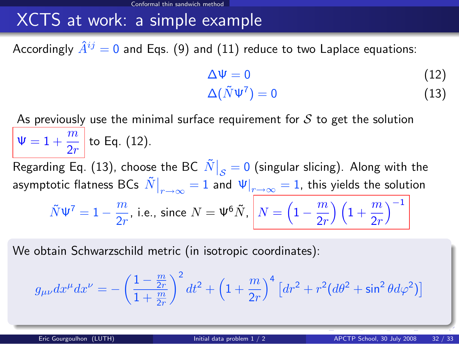Accordingly  $\hat{A}^{ij} = 0$  and Eqs. [\(9\)](#page-48-1) and [\(11\)](#page-48-2) reduce to two Laplace equations:

<span id="page-53-0"></span>
$$
\Delta \Psi = 0 \tag{12}
$$
\n
$$
\Delta(\tilde{N}\Psi^7) = 0 \tag{13}
$$

As previously use the minimal surface requirement for  $\mathcal S$  to get the solution  $\Psi = 1 + \frac{m}{2r}$  to Eq. [\(12\)](#page-51-0). Regarding Eq. [\(13\)](#page-51-1), choose the BC  $\left.\tilde{N}\right|_{\cal S}=0$  (singular slicing). Along with the asymptotic flatness BCs  $\left.\tilde{N}\right|_{r\rightarrow\infty}=1$  and  $\left.\Psi\right|_{r\rightarrow\infty}=1,$  this yields the solution  $\tilde{N}\Psi^7=1-\frac{m}{2}$  $\frac{m}{2r}$ , i.e., since  $N=\Psi^6\tilde{N},\ \left\vert N=\left(1-\frac{m}{2r}\right.\right\vert$  $\left(\frac{m}{2r}\right)\left(1+\frac{m}{2r}\right)$  $\setminus^{-1}$ 

We obtain Schwarzschild metric (in isotropic coordinates):

$$
g_{\mu\nu}dx^{\mu}dx^{\nu} = -\left(\frac{1-\frac{m}{2r}}{1+\frac{m}{2r}}\right)^2 dt^2 + \left(1+\frac{m}{2r}\right)^4 \left[dr^2 + r^2(d\theta^2 + \sin^2\theta d\varphi^2)\right]
$$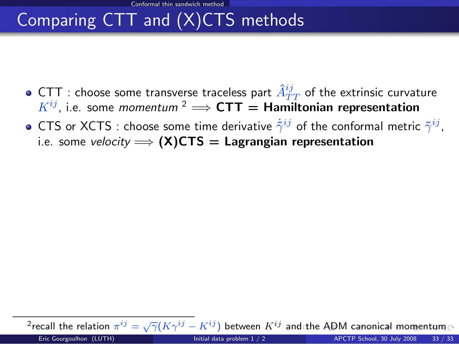Conformal thin sandwich method

# Comparing CTT and (X)CTS methods

- CTT : choose some transverse traceless part  $\hat{A}_{TT}^{ij}$  of the extrinsic curvature  $K^{ij}$ . i.e. some *momentum* <sup>2</sup>  $\Longrightarrow$  **CTT** = **Hamiltonian representation**
- CTS or XCTS : choose some time derivative  $\dot{\tilde{\gamma}}^{ij}$  of the conformal metric  $\tilde{\gamma}^{ij}$ , i.e. some velocity  $\implies$  (X)CTS = Lagrangian representation

<span id="page-54-0"></span> $\overline{P}$  $\overline{P}$  $\overline{P}$ recall t[he](#page-55-0)rel[a](#page-42-0)tion  $\pi^{ij}=\sqrt{\gamma}(K\gamma^{ij}-K^{ij})$  between  $K^{ij}$  a[nd](#page-53-0) the [A](#page-54-0)[DM](#page-55-0) [c](#page-41-0)a[no](#page-55-0)[ni](#page-41-0)[ca](#page-42-0)[l m](#page-55-0)o[ment](#page-55-0)um Eric Gourgoulhon (LUTH) [Initial data problem 1 / 2](#page-0-0) APCTP School, 30 July 2008 33 / 33